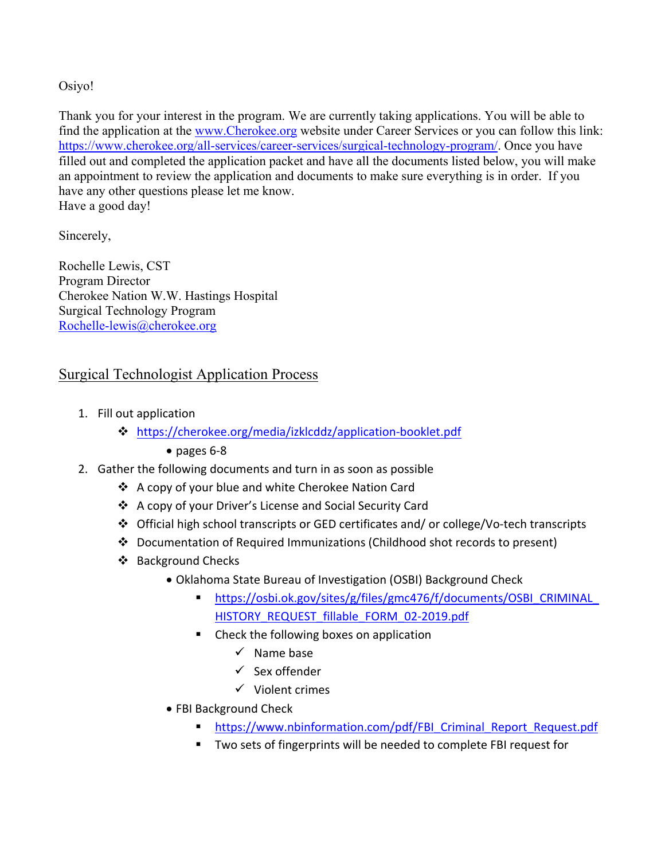Osiyo!

Thank you for your interest in the program. We are currently taking applications. You will be able to find the application at the [www.Cherokee.org](http://www.cherokee.org/) website under Career Services or you can follow this link: [https://www.cherokee.org/all-services/career-services/surgical-technology-program/.](https://www.cherokee.org/all-services/career-services/surgical-technology-program/) Once you have filled out and completed the application packet and have all the documents listed below, you will make an appointment to review the application and documents to make sure everything is in order. If you have any other questions please let me know. Have a good day!

Sincerely,

Rochelle Lewis, CST Program Director Cherokee Nation W.W. Hastings Hospital Surgical Technology Program [Rochelle-lewis@cherokee.org](mailto:Rochelle-lewis@cherokee.org)

## Surgical Technologist Application Process

- 1. Fill out application
	- <https://cherokee.org/media/izklcddz/application-booklet.pdf>
		- pages 6-8
- 2. Gather the following documents and turn in as soon as possible
	- A copy of your blue and white Cherokee Nation Card
	- A copy of your Driver's License and Social Security Card
	- Official high school transcripts or GED certificates and/ or college/Vo-tech transcripts
	- Documentation of Required Immunizations (Childhood shot records to present)
	- ❖ Background Checks
		- Oklahoma State Bureau of Investigation (OSBI) Background Check
			- [https://osbi.ok.gov/sites/g/files/gmc476/f/documents/OSBI\\_CRIMINAL\\_](https://osbi.ok.gov/sites/g/files/gmc476/f/documents/OSBI_CRIMINAL_HISTORY_REQUEST_fillable_FORM_02-2019.pdf) [HISTORY\\_REQUEST\\_fillable\\_FORM\\_02-2019.pdf](https://osbi.ok.gov/sites/g/files/gmc476/f/documents/OSBI_CRIMINAL_HISTORY_REQUEST_fillable_FORM_02-2019.pdf)
			- Check the following boxes on application
				- $\checkmark$  Name base
				- Sex offender
				- $\checkmark$  Violent crimes
		- FBI Background Check
			- **[https://www.nbinformation.com/pdf/FBI\\_Criminal\\_Report\\_Request.pdf](https://www.nbinformation.com/pdf/FBI_Criminal_Report_Request.pdf)**
			- Two sets of fingerprints will be needed to complete FBI request for